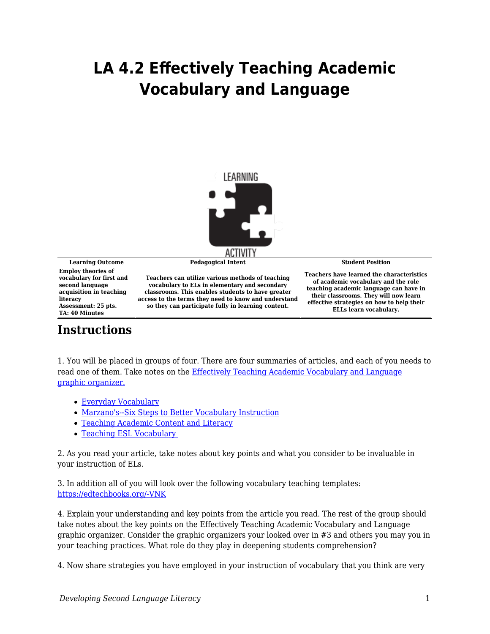## **LA 4.2 Effectively Teaching Academic Vocabulary and Language**



**Employ theories of vocabulary for first and second language acquisition in teaching literacy**

**Learning Outcome Pedagogical Intent Student Position**

**Teachers can utilize various methods of teaching vocabulary to ELs in elementary and secondary classrooms. This enables students to have greater access to the terms they need to know and understand so they can participate fully in learning content.**

**Teachers have learned the characteristics of academic vocabulary and the role teaching academic language can have in their classrooms. They will now learn effective strategies on how to help their ELLs learn vocabulary.**

## **Instructions**

**Assessment: 25 pts. TA: 40 Minutes**

1. You will be placed in groups of four. There are four summaries of articles, and each of you needs to read one of them. Take notes on the [Effectively Teaching Academic Vocabulary and Language](https://byu.box.com/s/5zjffhtpwsqejuenoyy2pj9r563qeq07) [graphic organizer.](https://byu.box.com/s/5zjffhtpwsqejuenoyy2pj9r563qeq07)

- [Everyday Vocabulary](https://byu.box.com/s/q9p07b6sqnmoz1d3ouyciqm36l2uqxor)
- [Marzano's--Six Steps to Better Vocabulary Instruction](https://byu.box.com/s/4xz9ffyboopwiwuvhf9fsvfq8698p7q0)
- [Teaching Academic Content and Literacy](https://byu.box.com/s/n6wai767hp3al8y4c0979unxk77pkvgm)
- [Teaching ESL Vocabulary](https://byu.box.com/s/wyc30kaaxey79i99rm9kj90exvtbsysi)

2. As you read your article, take notes about key points and what you consider to be invaluable in your instruction of ELs.

3. In addition all of you will look over the following vocabulary teaching templates: [https://edtechbooks.org/-VNK](https://do-prod-webteam-drupalfiles.s3-us-west-2.amazonaws.com/bcedu/s3fs-public/Vocabulary_Graphic_Organizers.pdf)

4. Explain your understanding and key points from the article you read. The rest of the group should take notes about the key points on the Effectively Teaching Academic Vocabulary and Language graphic organizer. Consider the graphic organizers your looked over in #3 and others you may you in your teaching practices. What role do they play in deepening students comprehension?

4. Now share strategies you have employed in your instruction of vocabulary that you think are very